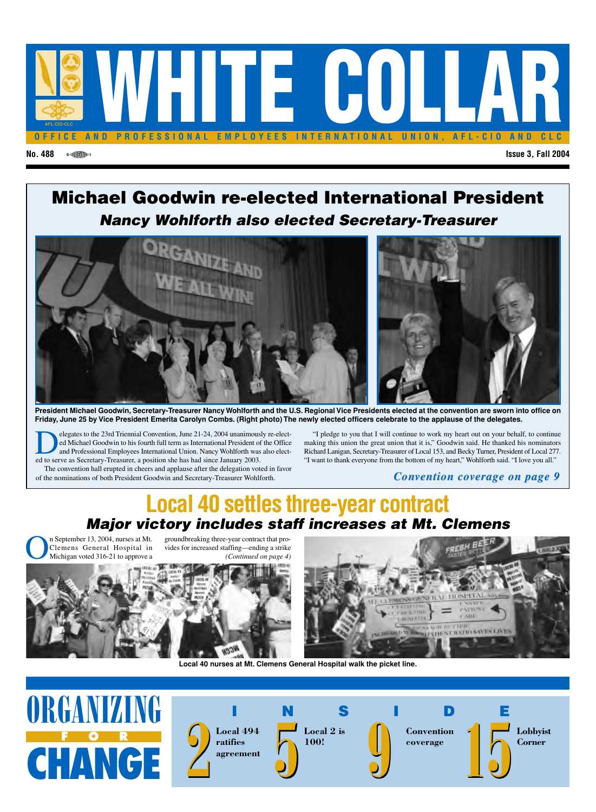

### **No. 488 Issue 3, Fall 2004**

## **Michael Goodwin re-elected International President** *Nancy Wohlforth also elected Secretary-Treasurer*



**President Michael Goodwin, Secretary-Treasurer Nancy Wohlforth and the U.S. Regional Vice Presidents elected at the convention are sworn into office on Friday, June 25 by Vice President Emerita Carolyn Combs. (Right photo) The newly elected officers celebrate to the applause of the delegates.**

relegates to the 23rd Triennial Convention, June 21-24, 2004 unanimously re-elect-<br>ed Michael Goodwin to his fourth full term as International President of the Office<br>and Professional Employees International Union. Nancy W ed Michael Goodwin to his fourth full term as International President of the Office and Professional Employees International Union. Nancy Wohlforth was also elected to serve as Secretary-Treasurer, a position she has had since January 2003. The convention hall erupted in cheers and applause after the delegation voted in favor

of the nominations of both President Goodwin and Secretary-Treasurer Wohlforth.

"I pledge to you that I will continue to work my heart out on your behalf, to continue making this union the great union that it is," Goodwin said. He thanked his nominators Richard Lanigan, Secretary-Treasurer of Local 153, and Becky Turner, President of Local 277. "I want to thank everyone from the bottom of my heart," Wohlforth said. "I love you all."

### *Convention c Convention coverage on page 9 overage on page 9*

## **Local 40 settles three-year contract** *Major victory includes staff increases at Mt. Clemens*

n September 13, 2004, nurses at Mt. Clemens General Hospital in Michigan voted 316-21 to approve a

groundbreaking three-year contract that provides for increased staffing—ending a strike *(Continued on page 4)*





**Local 40 nurses at Mt. Clemens General Hospital walk the picket line.**



**2 ratifies agreement** **Local 2 is 100!**



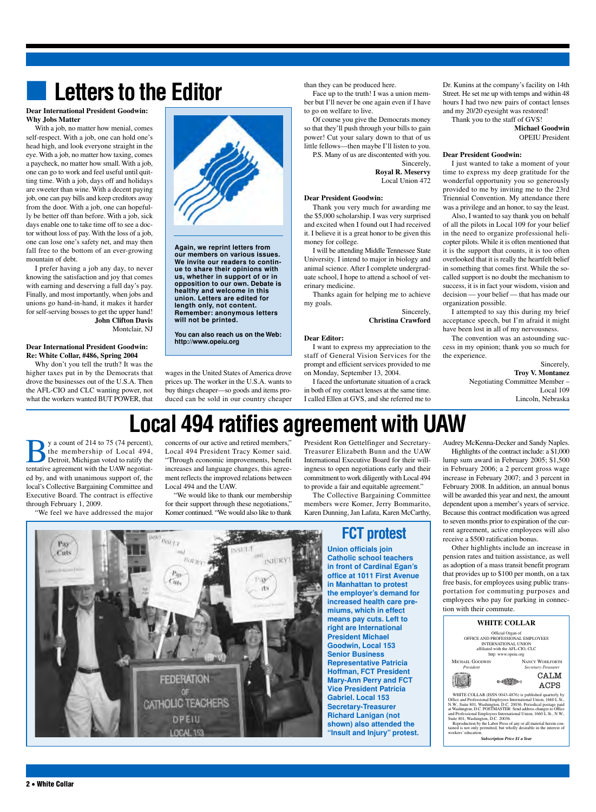## **Letters to the Editor**

#### **Dear International President Goodwin: Why Jobs Matter**

With a job, no matter how menial, comes self-respect. With a job, one can hold one's head high, and look everyone straight in the eye. With a job, no matter how taxing, comes a paycheck, no matter how small. With a job, one can go to work and feel useful until quitting time. With a job, days off and holidays are sweeter than wine. With a decent paying job, one can pay bills and keep creditors away from the door. With a job, one can hopefully be better off than before. With a job, sick days enable one to take time off to see a doctor without loss of pay. With the loss of a job, one can lose one's safety net, and may then fall free to the bottom of an ever-growing mountain of debt.

I prefer having a job any day, to never knowing the satisfaction and joy that comes with earning and deserving a full day's pay. Finally, and most importantly, when jobs and unions go hand-in-hand, it makes it harder for self-serving bosses to get the upper hand! **John Clifton Davis** Montclair, NJ

### **Dear International President Goodwin: Re: White Collar, #486, Spring 2004**

Why don't you tell the truth? It was the higher taxes put in by the Democrats that drove the businesses out of the U.S.A. Then the AFL-CIO and CLC wanting power, not what the workers wanted BUT POWER, that



**Again, we reprint letters from our members on various issues. We invite our readers to continue to share their opinions with us, whether in support of or in opposition to our own. Debate is healthy and welcome in this union. Letters are edited for length only, not content. Remember: anonymous letters will not be printed.**

**You can also reach us on the Web: http://www.opeiu.org**

than they can be produced here.

Face up to the truth! I was a union member but I'll never be one again even if I have to go on welfare to live.

Of course you give the Democrats money so that they'll push through your bills to gain power! Cut your salary down to that of us

little fellows—then maybe I'll listen to you. P.S. Many of us are discontented with you.

Sincerely, **Royal R. Meservy**

Local Union 472

### **Dear President Goodwin:**

Thank you very much for awarding me the \$5,000 scholarship. I was very surprised and excited when I found out I had received it. I believe it is a great honor to be given this money for college.

I will be attending Middle Tennessee State University. I intend to major in biology and animal science. After I complete undergraduate school, I hope to attend a school of veterinary medicine.

Thanks again for helping me to achieve my goals.

> Sincerely, **Christina Crawford**

### **Dear Editor:**

I want to express my appreciation to the staff of General Vision Services for the prompt and efficient services provided to me on Monday, September 13, 2004.

I faced the unfortunate situation of a crack in both of my contact lenses at the same time. I called Ellen at GVS, and she referred me to

Dr. Kunins at the company's facility on 14th Street. He set me up with temps and within 48 hours I had two new pairs of contact lenses and my 20/20 eyesight was restored!

Thank you to the staff of GVS!

**Michael Goodwin** OPEIU President

### **Dear President Goodwin:**

I just wanted to take a moment of your time to express my deep gratitude for the wonderful opportunity you so generously provided to me by inviting me to the 23rd Triennial Convention. My attendance there was a privilege and an honor, to say the least.

Also, I wanted to say thank you on behalf of all the pilots in Local 109 for your belief in the need to organize professional helicopter pilots. While it is often mentioned that it is the support that counts, it is too often overlooked that it is really the heartfelt belief in something that comes first. While the socalled support is no doubt the mechanism to success, it is in fact your wisdom, vision and decision — your belief — that has made our organization possible.

I attempted to say this during my brief acceptance speech, but I'm afraid it might have been lost in all of my nervousness.

The convention was an astounding success in my opinion; thank you so much for the experience.

Sincerely, **Troy V. Montanez** Negotiating Committee Member – Local 109 Lincoln, Nebraska

### prices up. The worker in the U.S.A. wants to buy things cheaper—so goods and items produced can be sold in our country cheaper

wages in the United States of America drove

# **Local 494 ratifies agreement with UAW**

INJURY.

y a count of 214 to 75 (74 percent),<br>the membership of Local 494,<br>Detroit, Michigan voted to ratify the<br>tentative agreement with the UAW negotiatthe membership of Local 494, Detroit, Michigan voted to ratify the tentative agreement with the UAW negotiated by, and with unanimous support of, the local's Collective Bargaining Committee and Executive Board. The contract is effective through February 1, 2009.

"We feel we have addressed the major

Pay Cuts

concerns of our active and retired members," Local 494 President Tracy Komer said. "Through economic improvements, benefit increases and language changes, this agreement reflects the improved relations between Local 494 and the UAW.

"We would like to thank our membership for their support through these negotiations," Komer continued. "We would also like to thank

Ikit jes

Pas

**FEDERATION** 

OF **CATHOLIC TEACHERS** 

> OPEIU LOCAL 153

President Ron Gettelfinger and Secretary-Treasurer Elizabeth Bunn and the UAW International Executive Board for their willingness to open negotiations early and their commitment to work diligently with Local 494 to provide a fair and equitable agreement."

The Collective Bargaining Committee members were Komer, Jerry Bommarito, Karen Dunning, Jan Lafata, Karen McCarthy,

## **FCT protest**

**Union officials join Catholic school teachers in front of Cardinal Egan's office at 1011 First Avenue in Manhattan to protest the employer's demand for increased health care premiums, which in effect means pay cuts. Left to right are International President Michael Goodwin, Local 153 Senior Business Representative Patricia Hoffman, FCT President Mary-Ann Perry and FCT Vice President Patricia Gabriel. Local 153 Secretary-Treasurer Richard Lanigan (not shown) also attended the "Insult and Injury" protest.**

Audrey McKenna-Decker and Sandy Naples. Highlights of the contract include: a \$1,000

lump sum award in February 2005; \$1,500 in February 2006; a 2 percent gross wage increase in February 2007; and 3 percent in February 2008. In addition, an annual bonus will be awarded this year and next, the amount dependent upon a member's years of service. Because this contract modification was agreed to seven months prior to expiration of the current agreement, active employees will also receive a \$500 ratification bonus.

Other highlights include an increase in pension rates and tuition assistance, as well as adoption of a mass transit benefit program that provides up to \$100 per month, on a tax free basis, for employees using public transportation for commuting purposes and employees who pay for parking in connection with their commute.

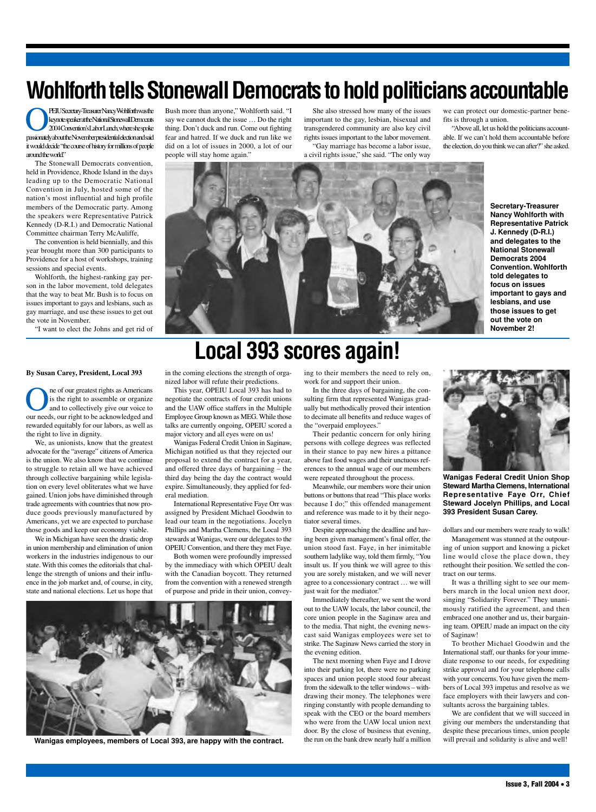# **Wohlforth tells Stonewall Democrats to hold politicians accountable**

**PEIUSecretary-TreasurerNancyWohlforthwasthe**<br>
2004 Convention's Labor Lunch, where she spoke<br>
passionately about the November mesidential election and said keynotespeakerattheNationalStonewallDemocrats 2004Convention'sLaborLunch,whereshespoke passionatelyabouttheNovemberpresidentialelectionandsaid it would decide "the course of history for millions of people around the world."

The Stonewall Democrats convention, held in Providence, Rhode Island in the days leading up to the Democratic National Convention in July, hosted some of the nation's most influential and high profile members of the Democratic party. Among the speakers were Representative Patrick Kennedy (D-R.I.) and Democratic National Committee chairman Terry McAuliffe,

The convention is held biennially, and this year brought more than 300 participants to Providence for a host of workshops, training sessions and special events.

Wohlforth, the highest-ranking gay person in the labor movement, told delegates that the way to beat Mr. Bush is to focus on issues important to gays and lesbians, such as gay marriage, and use these issues to get out the vote in November.

"I want to elect the Johns and get rid of

**By Susan Carey, President, Local 393**

**OREC SERVING THE OREO SERVING THE CONFIDENCE CONCRETE AND SERVING THE SERVING ON THE SERVING OF SCHOOL AND SERVING THE SERVING OF SCHOOL AND SERVING THE SERVING OF SCHOOL AND SERVING THE SERVING OF SCHOOL AND SERVING THE** is the right to assemble or organize and to collectively give our voice to our needs, our right to be acknowledged and rewarded equitably for our labors, as well as the right to live in dignity.

We, as unionists, know that the greatest advocate for the "average" citizens of America is the union. We also know that we continue to struggle to retain all we have achieved through collective bargaining while legislation on every level obliterates what we have gained. Union jobs have diminished through trade agreements with countries that now produce goods previously manufactured by Americans, yet we are expected to purchase those goods and keep our economy viable.

We in Michigan have seen the drastic drop in union membership and elimination of union workers in the industries indigenous to our state. With this comes the editorials that challenge the strength of unions and their influence in the job market and, of course, in city, state and national elections. Let us hope that

Bush more than anyone," Wohlforth said. "I say we cannot duck the issue … Do the right thing. Don't duck and run. Come out fighting fear and hatred. If we duck and run like we did on a lot of issues in 2000, a lot of our people will stay home again."

She also stressed how many of the issues important to the gay, lesbian, bisexual and transgendered community are also key civil rights issues important to the labor movement.

"Gay marriage has become a labor issue, a civil rights issue," she said. "The only way

we can protect our domestic-partner benefits is through a union.

"Above all, let us hold the politicians accountable. If we can't hold them accountable before the election, do you think we can after?" she asked.



**Secretary-Treasurer Nancy Wohlforth with Representative Patrick J. Kennedy (D-R.I.) and delegates to the National Stonewall Democrats 2004 Convention. Wohlforth told delegates to focus on issues important to gays and lesbians, and use those issues to get out the vote on November 2!**

## **Local 393 scores again!**

in the coming elections the strength of organized labor will refute their predictions.

This year, OPEIU Local 393 has had to negotiate the contracts of four credit unions and the UAW office staffers in the Multiple Employee Group known as MEG. While those talks are currently ongoing, OPEIU scored a major victory and all eyes were on us!

Wanigas Federal Credit Union in Saginaw, Michigan notified us that they rejected our proposal to extend the contract for a year, and offered three days of bargaining – the third day being the day the contract would expire. Simultaneously, they applied for federal mediation.

International Representative Faye Orr was assigned by President Michael Goodwin to lead our team in the negotiations. Jocelyn Phillips and Martha Clemens, the Local 393 stewards at Wanigas, were our delegates to the OPEIU Convention, and there they met Faye.

Both women were profoundly impressed by the immediacy with which OPEIU dealt with the Canadian boycott. They returned from the convention with a renewed strength of purpose and pride in their union, convey-



Wanigas employees, members of Local 393, are happy with the contract. Whe run on the bank drew nearly half a million will prevail and solidarity is alive and well!

ing to their members the need to rely on, work for and support their union.

In the three days of bargaining, the consulting firm that represented Wanigas gradually but methodically proved their intention to decimate all benefits and reduce wages of the "overpaid employees."

Their pedantic concern for only hiring persons with college degrees was reflected in their stance to pay new hires a pittance above fast food wages and their unctuous references to the annual wage of our members were repeated throughout the process.

Meanwhile, our members wore their union buttons or buttons that read "This place works because I do;" this offended management and reference was made to it by their negotiator several times.

Despite approaching the deadline and having been given management's final offer, the union stood fast. Faye, in her inimitable southern ladylike way, told them firmly, "You insult us. If you think we will agree to this you are sorely mistaken, and we will never agree to a concessionary contract … we will just wait for the mediator."

Immediately thereafter, we sent the word out to the UAW locals, the labor council, the core union people in the Saginaw area and to the media. That night, the evening newscast said Wanigas employees were set to strike. The Saginaw News carried the story in the evening edition.

The next morning when Faye and I drove into their parking lot, there were no parking spaces and union people stood four abreast from the sidewalk to the teller windows – withdrawing their money. The telephones were ringing constantly with people demanding to speak with the CEO or the board members who were from the UAW local union next door. By the close of business that evening, the run on the bank drew nearly half a million



**Wanigas Federal Credit Union Shop Steward Martha Clemens, International Representative Faye Orr, Chief Steward Jocelyn Phillips, and Local 393 President Susan Carey.**

dollars and our members were ready to walk! Management was stunned at the outpouring of union support and knowing a picket line would close the place down, they rethought their position. We settled the contract on our terms.

It was a thrilling sight to see our members march in the local union next door, singing "Solidarity Forever." They unanimously ratified the agreement, and then embraced one another and us, their bargaining team. OPEIU made an impact on the city of Saginaw!

To brother Michael Goodwin and the International staff, our thanks for your immediate response to our needs, for expediting strike approval and for your telephone calls with your concerns.You have given the members of Local 393 impetus and resolve as we face employers with their lawyers and consultants across the bargaining tables.

We are confident that we will succeed in giving our members the understanding that despite these precarious times, union people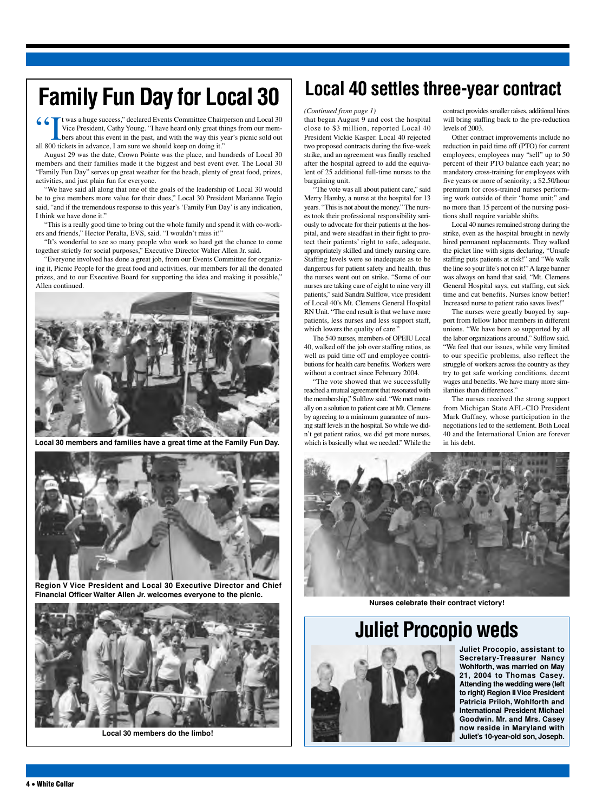# **Family Fun Day for Local 30**

66 T t was a huge success," declared Events Committee Chairperson and Local 30 Vice President, Cathy Young. "I have heard only great things from our mem-Let bers about this event in the past, and with the way this year's picnic sold out

all 800 tickets in advance, I am sure we should keep on doing it." August 29 was the date, Crown Pointe was the place, and hundreds of Local 30 members and their families made it the biggest and best event ever. The Local 30 "Family Fun Day" serves up great weather for the beach, plenty of great food, prizes, activities, and just plain fun for everyone.

"We have said all along that one of the goals of the leadership of Local 30 would be to give members more value for their dues," Local 30 President Marianne Tegio said, "and if the tremendous response to this year's 'Family Fun Day' is any indication, I think we have done it."

"This is a really good time to bring out the whole family and spend it with co-workers and friends," Hector Peralta, EVS, said. "I wouldn't miss it!"

"It's wonderful to see so many people who work so hard get the chance to come together strictly for social purposes," Executive Director Walter Allen Jr. said.

"Everyone involved has done a great job, from our Events Committee for organizing it, Picnic People for the great food and activities, our members for all the donated prizes, and to our Executive Board for supporting the idea and making it possible," Allen continued.



**Local 30 members and families have a great time at the Family Fun Day.**



**Region V Vice President and Local 30 Executive Director and Chief Financial Officer Walter Allen Jr. welcomes everyone to the picnic.**



**Local 30 members do the limbo!**

## **Local 40 settles three-year contract**

levels of 2003.

contract provides smaller raises, additional hires will bring staffing back to the pre-reduction

Other contract improvements include no reduction in paid time off (PTO) for current employees; employees may "sell" up to 50 percent of their PTO balance each year; no mandatory cross-training for employees with five years or more of seniority; a \$2.50/hour premium for cross-trained nurses performing work outside of their "home unit;" and no more than 15 percent of the nursing posi-

Local 40 nurses remained strong during the strike, even as the hospital brought in newly hired permanent replacements. They walked the picket line with signs declaring, "Unsafe staffing puts patients at risk!" and "We walk the line so your life's not on it!" A large banner was always on hand that said, "Mt. Clemens General Hospital says, cut staffing, cut sick time and cut benefits. Nurses know better! Increased nurse to patient ratio saves lives!" The nurses were greatly buoyed by support from fellow labor members in different unions. "We have been so supported by all the labor organizations around," Sulflow said. "We feel that our issues, while very limited to our specific problems, also reflect the struggle of workers across the country as they try to get safe working conditions, decent wages and benefits. We have many more sim-

tions shall require variable shifts.

ilarities than differences."

in his debt.

The nurses received the strong support from Michigan State AFL-CIO President Mark Gaffney, whose participation in the negotiations led to the settlement. Both Local 40 and the International Union are forever

#### *(Continued from page 1)*

that began August 9 and cost the hospital close to \$3 million, reported Local 40 President Vickie Kasper. Local 40 rejected two proposed contracts during the five-week strike, and an agreement was finally reached after the hospital agreed to add the equivalent of 25 additional full-time nurses to the bargaining unit.

"The vote was all about patient care," said Merry Hamby, a nurse at the hospital for 13 years. "This is not about the money." The nurses took their professional responsibility seriously to advocate for their patients at the hospital, and were steadfast in their fight to protect their patients' right to safe, adequate, appropriately skilled and timely nursing care. Staffing levels were so inadequate as to be dangerous for patient safety and health, thus the nurses went out on strike. "Some of our nurses are taking care of eight to nine very ill patients," said Sandra Sulflow, vice president of Local 40's Mt. Clemens General Hospital RN Unit. "The end result is that we have more patients, less nurses and less support staff, which lowers the quality of care."

The 540 nurses, members of OPEIU Local 40, walked off the job over staffing ratios, as well as paid time off and employee contributions for health care benefits. Workers were without a contract since February 2004.

"The vote showed that we successfully reached a mutual agreement that resonated with the membership," Sulflow said. "We met mutually on a solution to patient care at Mt. Clemens by agreeing to a minimum guarantee of nursing staff levels in the hospital. So while we didn't get patient ratios, we did get more nurses, which is basically what we needed." While the



**Nurses celebrate their contract victory!**

**Juliet Procopio weds**



**Juliet Procopio, assistant to Secretary-Treasurer Nancy Wohlforth, was married on May 21, 2004 to Thomas Casey. Attending the wedding were (left to right) Region IIVice President Patricia Priloh, Wohlforth and International President Michael Goodwin. Mr. and Mrs. Casey now reside in Maryland with Juliet's 10-year-old son, Joseph.**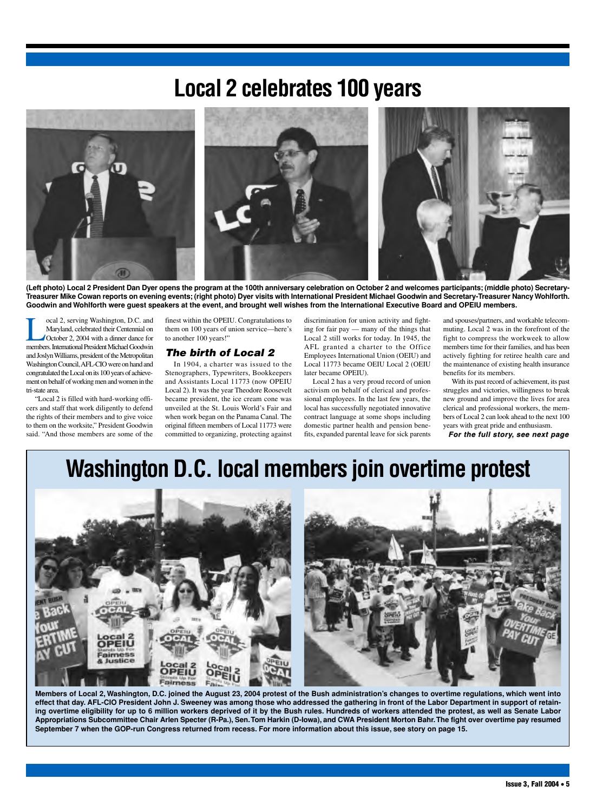## **Local 2 celebrates 100 years**



**(Left photo) Local 2 President Dan Dyer opens the program at the 100th anniversary celebration on October 2 and welcomes participants; (middle photo) Secretary-Treasurer Mike Cowan reports on evening events; (right photo) Dyer visits with International President Michael Goodwin and Secretary-Treasurer Nancy Wohlforth. Goodwin and Wohlforth were guest speakers at the event, and brought well wishes from the International Executive Board and OPEIU members.**

Social 2, serving Washington, D.C. and<br>Maryland, celebrated their Centennial on<br>October 2, 2004 with a dinner dance for<br>members International President Michael Goodwin Maryland, celebrated their Centennial on October 2, 2004 with a dinner dance for members. International President Michael Goodwin and Joslyn Williams, president of the Metropolitan Washington Council,AFL-CIO were on hand and congratulated the Local on its 100 years of achievement on behalf of working men and women in the tri-state area.

"Local 2 is filled with hard-working officers and staff that work diligently to defend the rights of their members and to give voice to them on the worksite," President Goodwin said. "And those members are some of the finest within the OPEIU. Congratulations to them on 100 years of union service—here's to another 100 years!"

### *The birth of Local 2*

In 1904, a charter was issued to the Stenographers, Typewriters, Bookkeepers and Assistants Local 11773 (now OPEIU Local 2). It was the year Theodore Roosevelt became president, the ice cream cone was unveiled at the St. Louis World's Fair and when work began on the Panama Canal. The original fifteen members of Local 11773 were committed to organizing, protecting against

discrimination for union activity and fighting for fair pay — many of the things that Local 2 still works for today. In 1945, the AFL granted a charter to the Office Employees International Union (OEIU) and Local 11773 became OEIU Local 2 (OEIU later became OPEIU).

Local 2 has a very proud record of union activism on behalf of clerical and professional employees. In the last few years, the local has successfully negotiated innovative contract language at some shops including domestic partner health and pension benefits, expanded parental leave for sick parents

and spouses/partners, and workable telecommuting. Local 2 was in the forefront of the fight to compress the workweek to allow members time for their families, and has been actively fighting for retiree health care and the maintenance of existing health insurance benefits for its members.

With its past record of achievement, its past struggles and victories, willingness to break new ground and improve the lives for area clerical and professional workers, the members of Local 2 can look ahead to the next 100 years with great pride and enthusiasm.

*For the full story, see next page* 

## **Washington D.C. local members join overtime protest**



**Members of Local 2, Washington, D.C. joined the August 23, 2004 protest of the Bush administration's changes to overtime regulations, which went into effect that day. AFL-CIO President John J. Sweeney was among those who addressed the gathering in front of the Labor Department in support of retaining overtime eligibility for up to 6 million workers deprived of it by the Bush rules. Hundreds of workers attended the protest, as well as Senate Labor Appropriations Subcommittee Chair Arlen Specter (R-Pa.), Sen.Tom Harkin (D-Iowa), and CWA President Morton Bahr.The fight over overtime pay resumed September 7 when the GOP-run Congress returned from recess. For more information about this issue, see story on page 15.**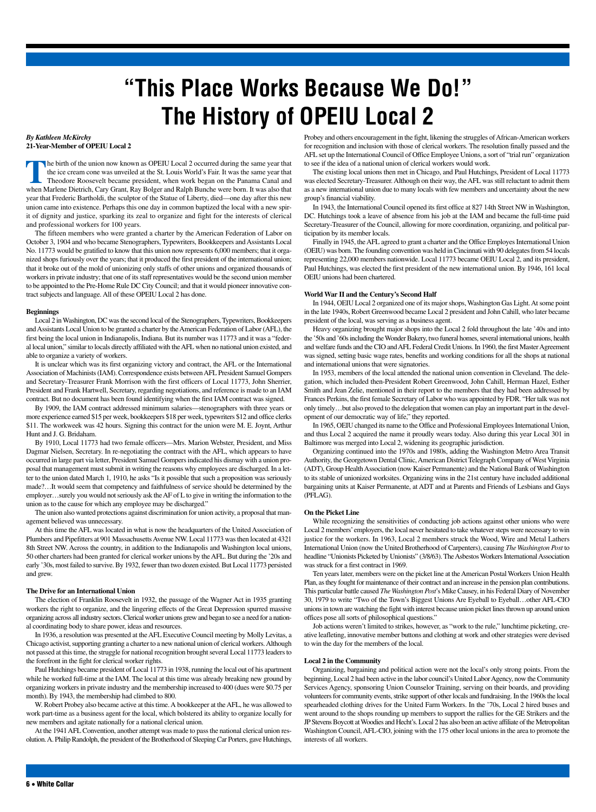# **"This Place Works Because We Do!" The History of OPEIU Local 2**

#### *By Kathleen McKirchy* **21-Year-Member of OPEIU Local 2**

The birth of the union now known as OPEIU Local 2 occurred during the same year that the ice cream cone was unveiled at the St. Louis World's Fair. It was the same year that Theodore Roosevelt became president, when work began on the Panama Canal and when Marlene Dietrich, Cary Grant, Ray Bolger and Ralph Bunche were born. It was also that year that Frederic Bartholdi, the sculptor of the Statue of Liberty, died—one day after this new union came into existence. Perhaps this one day in common baptized the local with a new spirit of dignity and justice, sparking its zeal to organize and fight for the interests of clerical and professional workers for 100 years.

The fifteen members who were granted a charter by the American Federation of Labor on October 3, 1904 and who became Stenographers, Typewriters, Bookkeepers and Assistants Local No. 11773 would be gratified to know that this union now represents 6,000 members; that it organized shops furiously over the years; that it produced the first president of the international union; that it broke out of the mold of unionizing only staffs of other unions and organized thousands of workers in private industry; that one of its staff representatives would be the second union member to be appointed to the Pre-Home Rule DC City Council; and that it would pioneer innovative contract subjects and language. All of these OPEIU Local 2 has done.

### **Beginnings**

Local 2 in Washington, DC was the second local of the Stenographers, Typewriters, Bookkeepers and Assistants Local Union to be granted a charter by the American Federation of Labor (AFL), the first being the local union in Indianapolis, Indiana. But its number was 11773 and it was a "federal local union," similar to locals directly affiliated with theAFL when no national union existed, and able to organize a variety of workers.

It is unclear which was its first organizing victory and contract, the AFL or the International Association of Machinists (IAM). Correspondence exists betweenAFL President Samuel Gompers and Secretary-Treasurer Frank Morrison with the first officers of Local 11773, John Sherrier, President and Frank Hartwell, Secretary, regarding negotiations, and reference is made to an IAM contract. But no document has been found identifying when the first IAM contract was signed.

By 1909, the IAM contract addressed minimum salaries—stenographers with three years or more experience earned \$15 per week, bookkeepers \$18 per week, typewriters \$12 and office clerks \$11. The workweek was 42 hours. Signing this contract for the union were M. E. Joynt, Arthur Hunt and J. G. Bridaham.

By 1910, Local 11773 had two female officers—Mrs. Marion Webster, President, and Miss Dagmar Nielsen, Secretary. In re-negotiating the contract with the AFL, which appears to have occurred in large part via letter, President Samuel Gompers indicated his dismay with a union proposal that management must submit in writing the reasons why employees are discharged. In a letter to the union dated March 1, 1910, he asks "Is it possible that such a proposition was seriously made?…It would seem that competency and faithfulness of service should be determined by the employer…surely you would not seriously ask theAF of L to give in writing the information to the union as to the cause for which any employee may be discharged."

The union also wanted protections against discrimination for union activity, a proposal that management believed was unnecessary.

At this time the AFL was located in what is now the headquarters of the United Association of Plumbers and Pipefitters at 901 Massachusetts Avenue NW. Local 11773 was then located at 4321 8th Street NW. Across the country, in addition to the Indianapolis and Washington local unions, 50 other charters had been granted for clerical worker unions by the AFL. But during the '20s and early '30s, most failed to survive. By 1932, fewer than two dozen existed. But Local 11773 persisted and grew.

### **The Drive for an International Union**

The election of Franklin Roosevelt in 1932, the passage of the Wagner Act in 1935 granting workers the right to organize, and the lingering effects of the Great Depression spurred massive organizing across all industry sectors. Clerical worker unions grew and began to see a need for a national coordinating body to share power, ideas and resources.

In 1936, a resolution was presented at the AFL Executive Council meeting by Molly Levitas, a Chicago activist, supporting granting a charter to a new national union of clerical workers.Although not passed at this time, the struggle for national recognition brought several Local 11773 leaders to the forefront in the fight for clerical worker rights.

Paul Hutchings became president of Local 11773 in 1938, running the local out of his apartment while he worked full-time at the IAM. The local at this time was already breaking new ground by organizing workers in private industry and the membership increased to 400 (dues were \$0.75 per month). By 1943, the membership had climbed to 800.

W. Robert Probey also became active at this time. A bookkeeper at the AFL, he was allowed to work part-time as a business agent for the local, which bolstered its ability to organize locally for new members and agitate nationally for a national clerical union.

At the 1941AFL Convention, another attempt was made to pass the national clerical union resolution.A. Philip Randolph, the president of the Brotherhood of Sleeping Car Porters, gave Hutchings, Probey and others encouragement in the fight, likening the struggles of African-American workers for recognition and inclusion with those of clerical workers. The resolution finally passed and the AFL set up the International Council of Office Employee Unions, a sort of "trial run" organization to see if the idea of a national union of clerical workers would work.

The existing local unions then met in Chicago, and Paul Hutchings, President of Local 11773 was elected Secretary-Treasurer. Although on their way, the AFL was still reluctant to admit them as a new international union due to many locals with few members and uncertainty about the new group's financial viability.

In 1943, the International Council opened its first office at 827 14th Street NW in Washington, DC. Hutchings took a leave of absence from his job at the IAM and became the full-time paid Secretary-Treasurer of the Council, allowing for more coordination, organizing, and political participation by its member locals.

Finally in 1945, theAFL agreed to grant a charter and the Office Employes International Union (OEIU) was born. The founding convention was held in Cincinnati with 90 delegates from 54 locals representing 22,000 members nationwide. Local 11773 became OEIU Local 2, and its president, Paul Hutchings, was elected the first president of the new international union. By 1946, 161 local OEIU unions had been chartered.

### **World War II and the Century's Second Half**

In 1944, OEIU Local 2 organized one of its major shops, Washington Gas Light.At some point in the late 1940s, Robert Greenwood became Local 2 president and John Cahill, who later became president of the local, was serving as a business agent.

Heavy organizing brought major shops into the Local 2 fold throughout the late '40s and into the '50s and '60s including theWonder Bakery, two funeral homes, several international unions, health and welfare funds and the CIO and AFL Federal Credit Unions. In 1960, the first Master Agreement was signed, setting basic wage rates, benefits and working conditions for all the shops at national and international unions that were signatories.

In 1953, members of the local attended the national union convention in Cleveland. The delegation, which included then-President Robert Greenwood, John Cahill, Herman Hazel, Esther Smith and Jean Zelie, mentioned in their report to the members that they had been addressed by Frances Perkins, the first female Secretary of Labor who was appointed by FDR. "Her talk was not only timely…but also proved to the delegation that women can play an important part in the development of our democratic way of life," they reported.

In 1965, OEIU changed its name to the Office and Professional Employees International Union, and thus Local 2 acquired the name it proudly wears today. Also during this year Local 301 in Baltimore was merged into Local 2, widening its geographic jurisdiction.

Organizing continued into the 1970s and 1980s, adding the Washington Metro Area Transit Authority, the Georgetown Dental Clinic, American District Telegraph Company of West Virginia (ADT), Group HealthAssociation (now Kaiser Permanente) and the National Bank of Washington to its stable of unionized worksites. Organizing wins in the 21st century have included additional bargaining units at Kaiser Permanente, at ADT and at Parents and Friends of Lesbians and Gays (PFLAG).

### **On the Picket Line**

While recognizing the sensitivities of conducting job actions against other unions who were Local 2 members'employers, the local never hesitated to take whatever steps were necessary to win justice for the workers. In 1963, Local 2 members struck the Wood, Wire and Metal Lathers International Union (now the United Brotherhood of Carpenters), causing *The Washington Post* to headline "Unionists Picketed by Unionists" (3/8/63). The Asbestos Workers International Association was struck for a first contract in 1969.

Ten years later, members were on the picket line at the American Postal Workers Union Health Plan, as they fought for maintenance of their contract and an increase in the pension plan contributions. This particular battle caused *The Washington Post*'s Mike Causey, in his Federal Diary of November 30, 1979 to write "Two of the Town's Biggest Unions Are Eyeball to Eyeball…other AFL-CIO unions in town are watching the fight with interest because union picket lines thrown up around union offices pose all sorts of philosophical questions."

Job actions weren't limited to strikes, however, as "work to the rule," lunchtime picketing, creative leafleting, innovative member buttons and clothing at work and other strategies were devised to win the day for the members of the local.

### **Local 2 in the Community**

Organizing, bargaining and political action were not the local's only strong points. From the beginning, Local 2 had been active in the labor council's United Labor Agency, now the Community Services Agency, sponsoring Union Counselor Training, serving on their boards, and providing volunteers for community events, strike support of other locals and fundraising. In the 1960s the local spearheaded clothing drives for the United Farm Workers. In the '70s, Local 2 hired buses and went around to the shops rounding up members to support the rallies for the GE Strikers and the JP Stevens Boycott atWoodies and Hecht's. Local 2 has also been an active affiliate of the Metropolitan Washington Council, AFL-CIO, joining with the 175 other local unions in the area to promote the interests of all workers.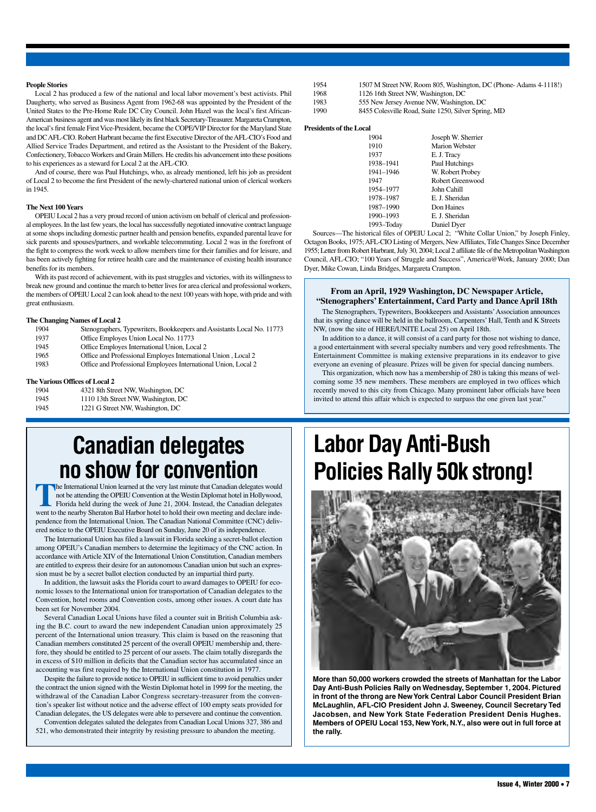#### **People Stories**

Local 2 has produced a few of the national and local labor movement's best activists. Phil Daugherty, who served as Business Agent from 1962-68 was appointed by the President of the United States to the Pre-Home Rule DC City Council. John Hazel was the local's first African-American business agent and was most likely its first black Secretary-Treasurer. Margareta Crampton, the local's first female First Vice-President, became the COPE/VIP Director for the Maryland State and DCAFL-CIO. Robert Harbrant became the first Executive Director of theAFL-CIO's Food and Allied Service Trades Department, and retired as the Assistant to the President of the Bakery, Confectionery, Tobacco Workers and Grain Millers. He credits his advancement into these positions to his experiences as a steward for Local 2 at the AFL-CIO.

And of course, there was Paul Hutchings, who, as already mentioned, left his job as president of Local 2 to become the first President of the newly-chartered national union of clerical workers in 1945.

#### **The Next 100 Years**

OPEIU Local 2 has a very proud record of union activism on behalf of clerical and professional employees. In the last few years, the local has successfully negotiated innovative contract language at some shops including domestic partner health and pension benefits, expanded parental leave for sick parents and spouses/partners, and workable telecommuting. Local 2 was in the forefront of the fight to compress the work week to allow members time for their families and for leisure, and has been actively fighting for retiree health care and the maintenance of existing health insurance benefits for its members.

With its past record of achievement, with its past struggles and victories, with its willingness to break new ground and continue the march to better lives for area clerical and professional workers, the members of OPEIU Local 2 can look ahead to the next 100 years with hope, with pride and with great enthusiasm.

#### **The Changing Names of Local 2**

| 1904 | Stenographers, Typewriters, Bookkeepers and Assistants Local No. 11773 |
|------|------------------------------------------------------------------------|
| 1937 | Office Employes Union Local No. 11773                                  |
| 1945 | Office Employes International Union, Local 2                           |
| 1965 | Office and Professional Employes International Union, Local 2          |
| 1983 | Office and Professional Employees International Union, Local 2         |
|      |                                                                        |

#### **The Various Offices of Local 2**

| 1904 | 4321 8th Street NW, Washington, DC  |
|------|-------------------------------------|
| 1945 | 1110 13th Street NW, Washington, DC |
| 1945 | 1221 G Street NW, Washington, DC    |

## **Canadian delegates no show for convention**

**The International Union learned at the very last minute that Canadian delegates would** not be attending the OPEIU Convention at the Westin Diplomat hotel in Hollywood, Florida held during the week of June 21, 2004. Instead, the Canadian delegates went to the nearby Sheraton Bal Harbor hotel to hold their own meeting and declare independence from the International Union. The Canadian National Committee (CNC) delivered notice to the OPEIU Executive Board on Sunday, June 20 of its independence.

The International Union has filed a lawsuit in Florida seeking a secret-ballot election among OPEIU's Canadian members to determine the legitimacy of the CNC action. In accordance with Article XIV of the International Union Constitution, Canadian members are entitled to express their desire for an autonomous Canadian union but such an expression must be by a secret ballot election conducted by an impartial third party.

In addition, the lawsuit asks the Florida court to award damages to OPEIU for economic losses to the International union for transportation of Canadian delegates to the Convention, hotel rooms and Convention costs, among other issues. A court date has been set for November 2004.

Several Canadian Local Unions have filed a counter suit in British Columbia asking the B.C. court to award the new independent Canadian union approximately 25 percent of the International union treasury. This claim is based on the reasoning that Canadian members constituted 25 percent of the overall OPEIU membership and, therefore, they should be entitled to 25 percent of our assets. The claim totally disregards the in excess of \$10 million in deficits that the Canadian sector has accumulated since an accounting was first required by the International Union constitution in 1977.

Despite the failure to provide notice to OPEIU in sufficient time to avoid penalties under the contract the union signed with the Westin Diplomat hotel in 1999 for the meeting, the withdrawal of the Canadian Labor Congress secretary-treasurer from the convention's speaker list without notice and the adverse effect of 100 empty seats provided for Canadian delegates, the US delegates were able to persevere and continue the convention.

Convention delegates saluted the delegates from Canadian Local Unions 327, 386 and 521, who demonstrated their integrity by resisting pressure to abandon the meeting.

- 1954 1507 M Street NW, Room 805, Washington, DC (Phone- Adams 4-1118!)
- 1968 1126 16th Street NW, Washington, DC
- 1983 555 New Jersey Avenue NW, Washington, DC
- 1990 8455 Colesville Road, Suite 1250, Silver Spring, MD

### **Presidents of the Local**

| 1904       | Joseph W. Sherrier    |
|------------|-----------------------|
| 1910       | <b>Marion Webster</b> |
| 1937       | E. J. Tracy           |
| 1938-1941  | Paul Hutchings        |
| 1941-1946  | W. Robert Probey      |
| 1947       | Robert Greenwood      |
| 1954-1977  | John Cahill           |
| 1978-1987  | E. J. Sheridan        |
| 1987-1990  | Don Haines            |
| 1990-1993  | E. J. Sheridan        |
| 1993–Today | Daniel Dyer           |
|            |                       |

Sources—The historical files of OPEIU Local 2; "White Collar Union," by Joseph Finley, Octagon Books, 1975;AFL-CIO Listing of Mergers, NewAffiliates, Title Changes Since December 1955; Letter from Robert Harbrant, July 30, 2004; Local 2 affiliate file of the MetropolitanWashington Council, AFL-CIO; "100 Years of Struggle and Success", America@Work, January 2000; Dan Dyer, Mike Cowan, Linda Bridges, Margareta Crampton.

### **From an April, 1929 Washington, DC Newspaper Article, "Stenographers' Entertainment, Card Party and Dance April 18th**

The Stenographers, Typewriters, Bookkeepers and Assistants'Association announces that its spring dance will be held in the ballroom, Carpenters' Hall, Tenth and K Streets NW, (now the site of HERE/UNITE Local 25) on April 18th.

In addition to a dance, it will consist of a card party for those not wishing to dance, a good entertainment with several specialty numbers and very good refreshments. The Entertainment Committee is making extensive preparations in its endeavor to give everyone an evening of pleasure. Prizes will be given for special dancing numbers.

This organization, which now has a membership of 280 is taking this means of welcoming some 35 new members. These members are employed in two offices which recently moved to this city from Chicago. Many prominent labor officials have been invited to attend this affair which is expected to surpass the one given last year."

# **Labor Day Anti-Bush Policies Rally 50k strong!**



**More than 50,000 workers crowded the streets of Manhattan for the Labor Day Anti-Bush Policies Rally on Wednesday, September 1, 2004. Pictured in front of the throng are NewYork Central Labor Council President Brian McLaughlin, AFL-CIO President John J. Sweeney, Council Secretary Ted Jacobsen, and New York State Federation President Denis Hughes. Members of OPEIU Local 153, NewYork, N.Y., also were out in full force at the rally.**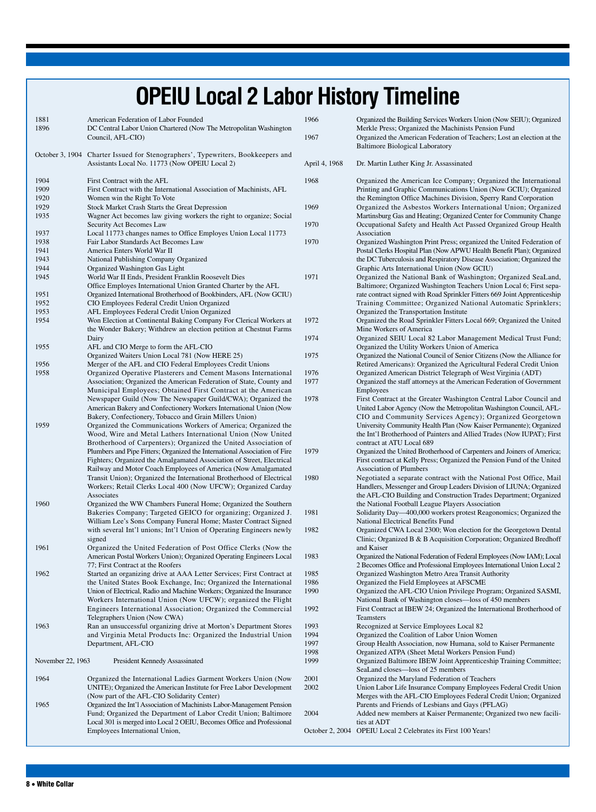# **OPEIU Local 2 Labor History Timeline**

| 1881<br>1896      | American Federation of Labor Founded<br>DC Central Labor Union Chartered (Now The Metropolitan Washington<br>Council, AFL-CIO)         |
|-------------------|----------------------------------------------------------------------------------------------------------------------------------------|
|                   | October 3, 1904 Charter Issued for Stenographers', Typewriters, Bookkeepers and<br>Assistants Local No. 11773 (Now OPEIU Local 2)      |
| 1904              | First Contract with the AFL                                                                                                            |
| 1909              | First Contract with the International Association of Machinists, AFL                                                                   |
| 1920              | Women win the Right To Vote                                                                                                            |
| 1929              | Stock Market Crash Starts the Great Depression                                                                                         |
| 1935              | Wagner Act becomes law giving workers the right to organize; Social                                                                    |
| 1937              | Security Act Becomes Law<br>Local 11773 changes names to Office Employes Union Local 11773                                             |
| 1938              | Fair Labor Standards Act Becomes Law                                                                                                   |
| 1941              | America Enters World War II                                                                                                            |
| 1943              | National Publishing Company Organized                                                                                                  |
| 1944              | Organized Washington Gas Light                                                                                                         |
| 1945              | World War II Ends, President Franklin Roosevelt Dies                                                                                   |
|                   | Office Employes International Union Granted Charter by the AFL                                                                         |
| 1951              | Organized International Brotherhood of Bookbinders, AFL (Now GCIU)                                                                     |
| 1952              | CIO Employees Federal Credit Union Organized                                                                                           |
| 1953<br>1954      | AFL Employees Federal Credit Union Organized<br>Won Election at Continental Baking Company For Clerical Workers at                     |
|                   | the Wonder Bakery; Withdrew an election petition at Chestnut Farms                                                                     |
|                   | Dairy                                                                                                                                  |
| 1955              | AFL and CIO Merge to form the AFL-CIO                                                                                                  |
|                   | Organized Waiters Union Local 781 (Now HERE 25)                                                                                        |
| 1956              | Merger of the AFL and CIO Federal Employees Credit Unions                                                                              |
| 1958              | Organized Operative Plasterers and Cement Masons International                                                                         |
|                   | Association; Organized the American Federation of State, County and                                                                    |
|                   | Municipal Employees; Obtained First Contract at the American<br>Newspaper Guild (Now The Newspaper Guild/CWA); Organized the           |
|                   | American Bakery and Confectionery Workers International Union (Now                                                                     |
|                   | Bakery, Confectionery, Tobacco and Grain Millers Union)                                                                                |
| 1959              | Organized the Communications Workers of America; Organized the                                                                         |
|                   | Wood, Wire and Metal Lathers International Union (Now United                                                                           |
|                   | Brotherhood of Carpenters); Organized the United Association of                                                                        |
|                   | Plumbers and Pipe Fitters; Organized the International Association of Fire                                                             |
|                   | Fighters; Organized the Amalgamated Association of Street, Electrical<br>Railway and Motor Coach Employees of America (Now Amalgamated |
|                   | Transit Union); Organized the International Brotherhood of Electrical                                                                  |
|                   | Workers; Retail Clerks Local 400 (Now UFCW); Organized Carday                                                                          |
|                   | Associates                                                                                                                             |
| 1960              | Organized the WW Chambers Funeral Home; Organized the Southern                                                                         |
|                   | Bakeries Company; Targeted GEICO for organizing; Organized J.                                                                          |
|                   | William Lee's Sons Company Funeral Home; Master Contract Signed                                                                        |
|                   | with several Int'l unions; Int'l Union of Operating Engineers newly                                                                    |
| 1961              | signed<br>Organized the United Federation of Post Office Clerks (Now the                                                               |
|                   | American Postal Workers Union); Organized Operating Engineers Local                                                                    |
|                   | 77; First Contract at the Roofers                                                                                                      |
| 1962              | Started an organizing drive at AAA Letter Services; First Contract at                                                                  |
|                   | the United States Book Exchange, Inc; Organized the International                                                                      |
|                   | Union of Electrical, Radio and Machine Workers; Organized the Insurance                                                                |
|                   | Workers International Union (Now UFCW); organized the Flight                                                                           |
|                   | Engineers International Association; Organized the Commercial<br>Telegraphers Union (Now CWA)                                          |
| 1963              | Ran an unsuccessful organizing drive at Morton's Department Stores                                                                     |
|                   | and Virginia Metal Products Inc: Organized the Industrial Union                                                                        |
|                   | Department, AFL-CIO                                                                                                                    |
| November 22, 1963 | President Kennedy Assassinated                                                                                                         |
|                   |                                                                                                                                        |
| 1964              | Organized the International Ladies Garment Workers Union (Now<br>UNITE); Organized the American Institute for Free Labor Development   |
|                   | (Now part of the AFL-CIO Solidarity Center)                                                                                            |
| 1965              | Organized the Int'l Association of Machinists Labor-Management Pension                                                                 |
|                   | Fund; Organized the Department of Labor Credit Union; Baltimore                                                                        |
|                   | Local 301 is merged into Local 2 OEIU, Becomes Office and Professional                                                                 |
|                   | Employees International Union,                                                                                                         |

| 1966          | Organized the Building Services Workers Union (Now SEIU); Organized                                                                                                                                                                                                                                                                                                                |
|---------------|------------------------------------------------------------------------------------------------------------------------------------------------------------------------------------------------------------------------------------------------------------------------------------------------------------------------------------------------------------------------------------|
| 1967          | Merkle Press; Organized the Machinists Pension Fund<br>Organized the American Federation of Teachers; Lost an election at the                                                                                                                                                                                                                                                      |
|               | <b>Baltimore Biological Laboratory</b>                                                                                                                                                                                                                                                                                                                                             |
| April 4, 1968 | Dr. Martin Luther King Jr. Assassinated                                                                                                                                                                                                                                                                                                                                            |
| 1968          | Organized the American Ice Company; Organized the International<br>Printing and Graphic Communications Union (Now GCIU); Organized                                                                                                                                                                                                                                                 |
| 1969          | the Remington Office Machines Division, Sperry Rand Corporation<br>Organized the Asbestos Workers International Union; Organized<br>Martinsburg Gas and Heating; Organized Center for Community Change                                                                                                                                                                             |
| 1970          | Occupational Safety and Health Act Passed Organized Group Health<br>Association                                                                                                                                                                                                                                                                                                    |
| 1970          | Organized Washington Print Press; organized the United Federation of<br>Postal Clerks Hospital Plan (Now APWU Health Benefit Plan); Organized<br>the DC Tuberculosis and Respiratory Disease Association; Organized the<br>Graphic Arts International Union (Now GCIU)                                                                                                             |
| 1971          | Organized the National Bank of Washington; Organized SeaLand,<br>Baltimore; Organized Washington Teachers Union Local 6; First sepa-<br>rate contract signed with Road Sprinkler Fitters 669 Joint Apprenticeship<br>Training Committee; Organized National Automatic Sprinklers;<br>Organized the Transportation Institute                                                        |
| 1972          | Organized the Road Sprinkler Fitters Local 669; Organized the United<br>Mine Workers of America                                                                                                                                                                                                                                                                                    |
| 1974          | Organized SEIU Local 82 Labor Management Medical Trust Fund;<br>Organized the Utility Workers Union of America                                                                                                                                                                                                                                                                     |
| 1975          | Organized the National Council of Senior Citizens (Now the Alliance for<br>Retired Americans): Organized the Agricultural Federal Credit Union                                                                                                                                                                                                                                     |
| 1976          | Organized American District Telegraph of West Virginia (ADT)                                                                                                                                                                                                                                                                                                                       |
| 1977          | Organized the staff attorneys at the American Federation of Government                                                                                                                                                                                                                                                                                                             |
|               | Employees                                                                                                                                                                                                                                                                                                                                                                          |
| 1978          | First Contract at the Greater Washington Central Labor Council and<br>United Labor Agency (Now the Metropolitan Washington Council, AFL-<br>CIO and Community Services Agency); Organized Georgetown<br>University Community Health Plan (Now Kaiser Permanente); Organized<br>the Int'l Brotherhood of Painters and Allied Trades (Now IUPAT); First<br>contract at ATU Local 689 |
| 1979          | Organized the United Brotherhood of Carpenters and Joiners of America;<br>First contract at Kelly Press; Organized the Pension Fund of the United<br><b>Association of Plumbers</b>                                                                                                                                                                                                |
| 1980          | Negotiated a separate contract with the National Post Office, Mail<br>Handlers, Messenger and Group Leaders Division of LIUNA; Organized<br>the AFL-CIO Building and Construction Trades Department; Organized<br>the National Football League Players Association                                                                                                                 |
| 1981          | Solidarity Day—400,000 workers protest Reagonomics; Organized the<br><b>National Electrical Benefits Fund</b>                                                                                                                                                                                                                                                                      |
| 1982          | Organized CWA Local 2300; Won election for the Georgetown Dental<br>Clinic; Organized B & B Acquisition Corporation; Organized Bredhoff<br>and Kaiser                                                                                                                                                                                                                              |
| 1983          | Organized the National Federation of Federal Employees (Now IAM); Local<br>2 Becomes Office and Professional Employees International Union Local 2                                                                                                                                                                                                                                 |
| 1985          | Organized Washington Metro Area Transit Authority                                                                                                                                                                                                                                                                                                                                  |
| 1986          | Organized the Field Employees at AFSCME                                                                                                                                                                                                                                                                                                                                            |
| 1990          | Organized the AFL-CIO Union Privilege Program; Organized SASMI,<br>National Bank of Washington closes—loss of 450 members                                                                                                                                                                                                                                                          |
| 1992          | First Contract at IBEW 24; Organized the International Brotherhood of<br><b>Teamsters</b>                                                                                                                                                                                                                                                                                          |
| 1993          | Recognized at Service Employees Local 82                                                                                                                                                                                                                                                                                                                                           |
| 1994          | Organized the Coalition of Labor Union Women                                                                                                                                                                                                                                                                                                                                       |
| 1997          | Group Health Association, now Humana, sold to Kaiser Permanente                                                                                                                                                                                                                                                                                                                    |
| 1998          | Organized ATPA (Sheet Metal Workers Pension Fund)                                                                                                                                                                                                                                                                                                                                  |
| 1999          | Organized Baltimore IBEW Joint Apprenticeship Training Committee;<br>SeaLand closes-loss of 25 members                                                                                                                                                                                                                                                                             |
| 2001          | Organized the Maryland Federation of Teachers                                                                                                                                                                                                                                                                                                                                      |
| 2002          | Union Labor Life Insurance Company Employees Federal Credit Union<br>Merges with the AFL-CIO Employees Federal Credit Union; Organized<br>Parents and Friends of Lesbians and Gays (PFLAG)                                                                                                                                                                                         |
| 2004          | Added new members at Kaiser Permanente; Organized two new facili-<br>ties at ADT                                                                                                                                                                                                                                                                                                   |

October 2, 2004 OPEIU Local 2 Celebrates its First 100 Years!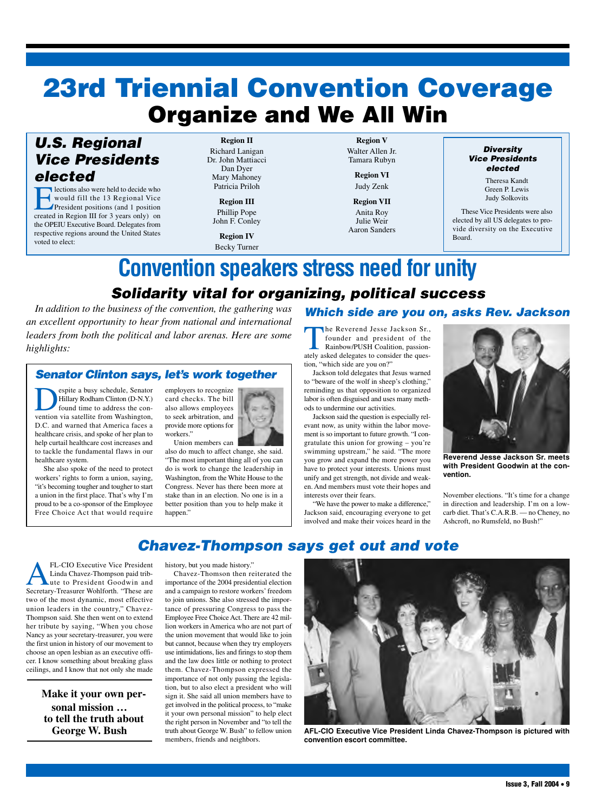# **Organize and We All Win 23rd Triennial Convention Coverage**

## *U.S. Regional Vice Presidents elected*

**Elections also were held to decide who** would fill the 13 Regional Vice President positions (and 1 position created in Region III for 3 years only) on the OPEIU Executive Board. Delegates from respective regions around the United States voted to elect:

**Region II** Richard Lanigan Dr. John Mattiacci Dan Dyer Mary Mahoney Patricia Priloh

### **Region III** Phillip Pope John F. Conley

**Region IV** Becky Turner

**Region V** Walter Allen Jr. Tamara Rubyn

> **Region VI** Judy Zenk

**Region VII** Anita Roy Julie Weir

Aaron Sanders

### *Diversity Vice Presidents elected*

Theresa Kandt Green P. Lewis Judy Solkovits

These Vice Presidents were also elected by all US delegates to provide diversity on the Executive Board.

# **Convention speakers stress need for unity**

*Solidarity vital for organizing, political success In addition to the business of the convention, the gathering was*

*an excellent opportunity to hear from national and international leaders from both the political and labor arenas. Here are some highlights:*

## *Senator Clinton says, let's work together*

espite a busy schedule, Senator<br>Hillary Rodham Clinton (D-N.Y.)<br>found time to address the con-<br>vention via satellite from Washington Hillary Rodham Clinton (D-N.Y.) found time to address the convention via satellite from Washington, D.C. and warned that America faces a healthcare crisis, and spoke of her plan to help curtail healthcare cost increases and to tackle the fundamental flaws in our healthcare system.

She also spoke of the need to protect workers' rights to form a union, saying, "it's becoming tougher and tougher to start a union in the first place. That's why I'm proud to be a co-sponsor of the Employee Free Choice Act that would require



also do much to affect change, she said. "The most important thing all of you can do is work to change the leadership in Washington, from the White House to the Congress. Never has there been more at stake than in an election. No one is in a better position than you to help make it happen."

## *Which side are you on, asks Rev. Jackson*

The Reverend Jesse Jackson Sr., founder and president of the Rainbow/PUSH Coalition, passionately asked delegates to consider the question, "which side are you on?"

Jackson told delegates that Jesus warned to "beware of the wolf in sheep's clothing," reminding us that opposition to organized labor is often disguised and uses many methods to undermine our activities.

Jackson said the question is especially relevant now, as unity within the labor movement is so important to future growth. "I congratulate this union for growing – you're swimming upstream," he said. "The more you grow and expand the more power you have to protect your interests. Unions must unify and get strength, not divide and weaken. And members must vote their hopes and interests over their fears.

"We have the power to make a difference," Jackson said, encouraging everyone to get involved and make their voices heard in the



**Reverend Jesse Jackson Sr. meets with President Goodwin at the convention.**

November elections. "It's time for a change in direction and leadership. I'm on a lowcarb diet. That's C.A.R.B. — no Cheney, no Ashcroft, no Rumsfeld, no Bush!"

## *Chavez-Thompson says get out and vote*

FL-CIO Executive Vice President Linda Chavez-Thompson paid tribute to President Goodwin and Secretary-Treasurer Wohlforth. "These are two of the most dynamic, most effective union leaders in the country," Chavez-Thompson said. She then went on to extend her tribute by saying, "When you chose Nancy as your secretary-treasurer, you were the first union in history of our movement to choose an open lesbian as an executive officer. I know something about breaking glass ceilings, and I know that not only she made

> **Make it your own personal mission … to tell the truth about George W. Bush**

history, but you made history."

Chavez-Thomson then reiterated the importance of the 2004 presidential election and a campaign to restore workers' freedom to join unions. She also stressed the importance of pressuring Congress to pass the Employee Free Choice Act. There are 42 million workers in America who are not part of the union movement that would like to join but cannot, because when they try employers use intimidations, lies and firings to stop them and the law does little or nothing to protect them. Chavez-Thompson expressed the importance of not only passing the legislation, but to also elect a president who will sign it. She said all union members have to get involved in the political process, to "make it your own personal mission" to help elect the right person in November and "to tell the truth about George W. Bush" to fellow union members, friends and neighbors.



**AFL-CIO Executive Vice President Linda Chavez-Thompson is pictured with convention escort committee.**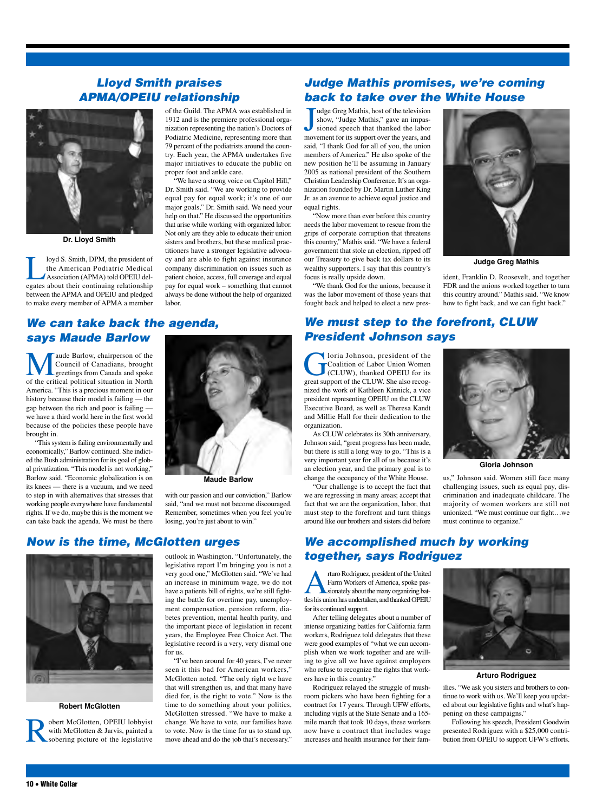## *Lloyd Smith praises APMA/OPEIU relationship*

labor.



**Dr. Lloyd Smith**

loyd S. Smith, DPM, the president of<br>the American Podiatric Medical<br>Association (APMA) told OPEIU del-<br>egates about their continuing relationship the American Podiatric Medical Association (APMA) told OPEIU delegates about their continuing relationship between the APMA and OPEIU and pledged to make every member of APMA a member

## *We can take back the agenda, says Maude Barlow*

**M** aude Barlow, chairperson of the Council of Canadians, brought greetings from Canada and spoke of the critical political situation in North Council of Canadians, brought greetings from Canada and spoke America. "This is a precious moment in our history because their model is failing — the gap between the rich and poor is failing we have a third world here in the first world because of the policies these people have brought in.

"This system is failing environmentally and economically," Barlow continued. She indicted the Bush administration for its goal of global privatization. "This model is not working," Barlow said. "Economic globalization is on its knees — there is a vacuum, and we need to step in with alternatives that stresses that working people everywhere have fundamental rights. If we do, maybe this is the moment we can take back the agenda. We must be there



of the Guild. The APMA was established in 1912 and is the premiere professional organization representing the nation's Doctors of Podiatric Medicine, representing more than 79 percent of the podiatrists around the country. Each year, the APMA undertakes five major initiatives to educate the public on

"We have a strong voice on Capitol Hill," Dr. Smith said. "We are working to provide equal pay for equal work; it's one of our major goals," Dr. Smith said. We need your help on that." He discussed the opportunities that arise while working with organized labor. Not only are they able to educate their union sisters and brothers, but these medical practitioners have a stronger legislative advocacy and are able to fight against insurance company discrimination on issues such as patient choice, access, full coverage and equal pay for equal work – something that cannot always be done without the help of organized

proper foot and ankle care.

with our passion and our conviction," Barlow said, "and we must not become discouraged. Remember, sometimes when you feel you're losing, you're just about to win."

### *Now is the time, McGlotten urges*



#### **Robert McGlotten**

**Robert McGlotten, OPEIU lobbyist**<br>with McGlotten & Jarvis, painted a<br>sobering picture of the legislative with McGlotten & Jarvis, painted a sobering picture of the legislative

outlook in Washington. "Unfortunately, the legislative report I'm bringing you is not a very good one," McGlotten said. "We've had an increase in minimum wage, we do not have a patients bill of rights, we're still fighting the battle for overtime pay, unemployment compensation, pension reform, diabetes prevention, mental health parity, and the important piece of legislation in recent years, the Employee Free Choice Act. The legislative record is a very, very dismal one for us.

"I've been around for 40 years, I've never seen it this bad for American workers," McGlotten noted. "The only right we have that will strengthen us, and that many have died for, is the right to vote." Now is the time to do something about your politics, McGlotten stressed. "We have to make a change. We have to vote, our families have to vote. Now is the time for us to stand up, move ahead and do the job that's necessary."

## *Judge Mathis promises, we're coming back to take over the White House*

J<sub>mov</sub> udge Greg Mathis, host of the television show, "Judge Mathis," gave an impassioned speech that thanked the labor movement for its support over the years, and said, "I thank God for all of you, the union members of America." He also spoke of the new position he'll be assuming in January 2005 as national president of the Southern Christian Leadership Conference. It's an organization founded by Dr. Martin Luther King Jr. as an avenue to achieve equal justice and equal rights.

"Now more than ever before this country needs the labor movement to rescue from the grips of corporate corruption that threatens this country," Mathis said. "We have a federal government that stole an election, ripped off our Treasury to give back tax dollars to its wealthy supporters. I say that this country's focus is really upside down.

"We thank God for the unions, because it was the labor movement of those years that fought back and helped to elect a new pres-



**Judge Greg Mathis**

ident, Franklin D. Roosevelt, and together FDR and the unions worked together to turn this country around." Mathis said. "We know how to fight back, and we can fight back."

## *We must step to the forefront, CLUW President Johnson says*

Ioria Johnson, president of the Coalition of Labor Union Women (CLUW), thanked OPEIU for its great support of the CLUW. She also recognized the work of Kathleen Kinnick, a vice president representing OPEIU on the CLUW Executive Board, as well as Theresa Kandt and Millie Hall for their dedication to the organization.

As CLUW celebrates its 30th anniversary, Johnson said, "great progress has been made, but there is still a long way to go. "This is a very important year for all of us because it's an election year, and the primary goal is to change the occupancy of the White House.

"Our challenge is to accept the fact that we are regressing in many areas; accept that fact that we are the organization, labor, that must step to the forefront and turn things around like our brothers and sisters did before



**Gloria Johnson**

us," Johnson said. Women still face many challenging issues, such as equal pay, discrimination and inadequate childcare. The majority of women workers are still not unionized. "We must continue our fight…we must continue to organize."

## *We accomplished much by working together, says Rodriguez*

**Arturo Rodriguez, president of the United<br>Farm Workers of America, spoke pas-<br>sionately about the many organizing bat-<br>tles his union has undertaken and thanked OPEII I** Farm Workers of America, spoke passionately about the many organizing battles his union has undertaken, and thanked OPEIU for its continued support.

After telling delegates about a number of intense organizing battles for California farm workers, Rodriguez told delegates that these were good examples of "what we can accomplish when we work together and are willing to give all we have against employers who refuse to recognize the rights that workers have in this country."

Rodriguez relayed the struggle of mushroom pickers who have been fighting for a contract for 17 years. Through UFW efforts, including vigils at the State Senate and a 165 mile march that took 10 days, these workers now have a contract that includes wage increases and health insurance for their fam-



**Arturo Rodriguez**

ilies. "We ask you sisters and brothers to continue to work with us. We'll keep you updated about our legislative fights and what's happening on these campaigns."

Following his speech, President Goodwin presented Rodriguez with a \$25,000 contribution from OPEIU to support UFW's efforts.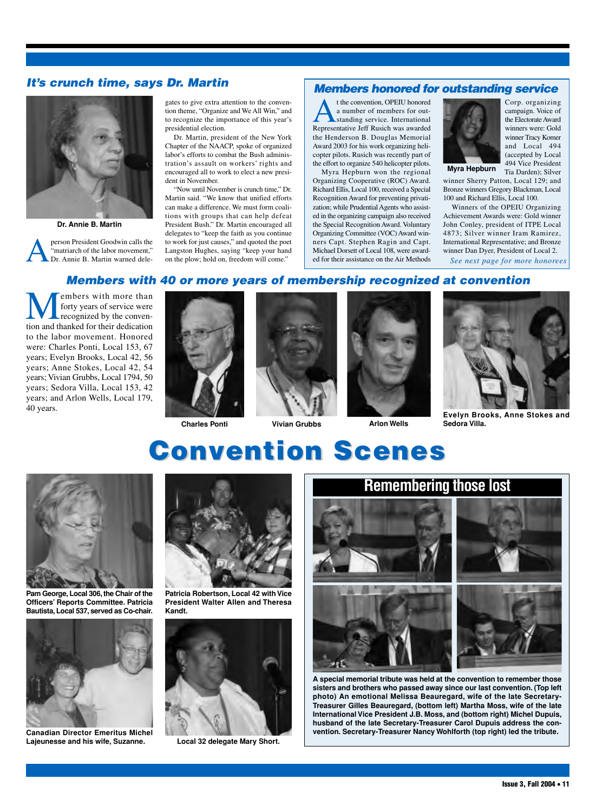## *It's crunch time, says Dr. Martin*



**Dr. Annie B. Martin**

person President Goodwin calls the "matriarch of the labor movement," Dr. Annie B. Martin warned delegates to give extra attention to the convention theme, "Organize and We All Win," and to recognize the importance of this year's presidential election.

Dr. Martin, president of the New York Chapter of the NAACP, spoke of organized labor's efforts to combat the Bush administration's assault on workers' rights and encouraged all to work to elect a new president in November.

"Now until November is crunch time," Dr. Martin said. "We know that unified efforts can make a difference. We must form coalitions with groups that can help defeat President Bush." Dr. Martin encouraged all delegates to "keep the faith as you continue to work for just causes," and quoted the poet Langston Hughes, saying "keep your hand on the plow; hold on, freedom will come."

### *Members honored for outstanding service*

t the convention, OPEIU honored a number of members for outstanding service. International Representative Jeff Rusich was awarded the Henderson B. Douglas Memorial Award 2003 for his work organizing helicopter pilots. Rusich was recently part of the effort to organize 540 helicopter pilots.

Myra Hepburn won the regional Organizing Cooperative (ROC) Award. Richard Ellis, Local 100, received a Special Recognition Award for preventing privatization; while Prudential Agents who assisted in the organizing campaign also received the Special Recognition Award. Voluntary Organizing Committee (VOC) Award winners Capt. Stephen Ragin and Capt. Michael Dorsett of Local 108, were awarded for their assistance on the Air Methods



Corp. organizing campaign. Voice of the Electorate Award winners were: Gold winner Tracy Komer and Local 494 (accepted by Local 494 Vice President Tia Darden); Silver

**Myra Hepburn**

winner Sherry Patton, Local 129; and Bronze winners Gregory Blackman, Local 100 and Richard Ellis, Local 100.

Winners of the OPEIU Organizing Achievement Awards were: Gold winner John Conley, president of ITPE Local 4873; Silver winner Iram Ramirez, International Representative; and Bronze winner Dan Dyer, President of Local 2. *See next page for more honorees* 

*Members with 40 or more years of membership recognized at convention*

**EXECUTE:** The more than<br>the forty years of service were<br>tion and thanked for their dedication forty years of service were recognized by the convento the labor movement. Honored were: Charles Ponti, Local 153, 67 years; Evelyn Brooks, Local 42, 56 years; Anne Stokes, Local 42, 54 years; Vivian Grubbs, Local 1794, 50 years; Sedora Villa, Local 153, 42 years; and Arlon Wells, Local 179, 40 years.



**Charles Ponti Vivian Grubbs Arlon Wells**



**Evelyn Brooks, Anne Stokes and Sedora Villa.**

# **Convention Scenes nvention Scenes**



**Pam George, Local 306, the Chair of the Officers' Reports Committee. Patricia Bautista, Local 537, served as Co-chair.**



**Canadian Director Emeritus Michel Lajeunesse and his wife, Suzanne.**



**Patricia Robertson, Local 42 with Vice President Walter Allen and Theresa Kandt.**



**Local 32 delegate Mary Short.**



**A special memorial tribute was held at the convention to remember those sisters and brothers who passed away since our last convention. (Top left photo) An emotional Melissa Beauregard, wife of the late Secretary-Treasurer Gilles Beauregard, (bottom left) Martha Moss, wife of the late International Vice President J.B. Moss, and (bottom right) Michel Dupuis, husband of the late Secretary-Treasurer Carol Dupuis address the convention. Secretary-Treasurer Nancy Wohlforth (top right) led the tribute.**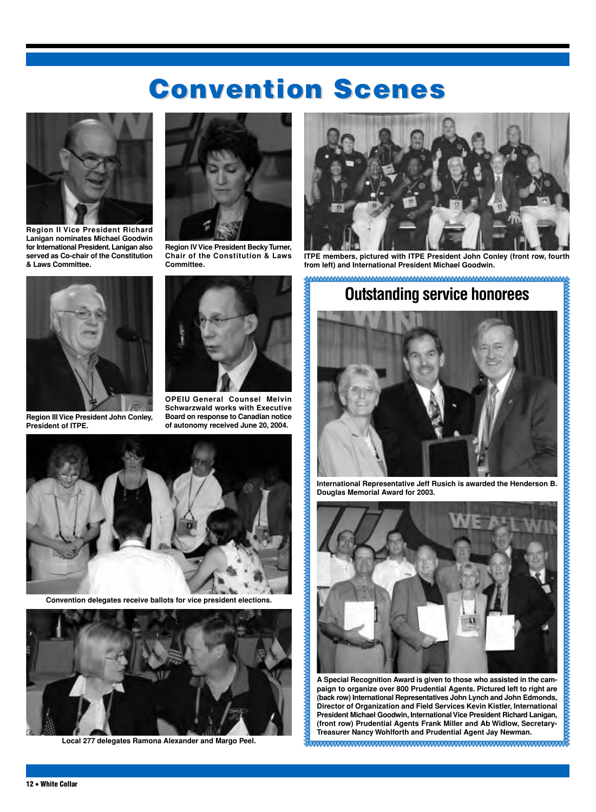# **Convention Scenes nvention Scenes**



**Region II Vice President Richard Lanigan nominates Michael Goodwin for International President. Lanigan also served as Co-chair of the Constitution & Laws Committee.**



**Region III Vice President John Conley, President of ITPE.**



**Region IV Vice President BeckyTurner, Chair of the Constitution & Laws Committee.**



**OPEIU General Counsel Melvin Schwarzwald works with Executive Board on response to Canadian notice of autonomy received June 20, 2004.**



**Convention delegates receive ballots for vice president elections.**



**Local 277 delegates Ramona Alexander and Margo Peel.**



**ITPE members, pictured with ITPE President John Conley (front row, fourth from left) and International President Michael Goodwin.**

### 

## **Outstanding service honorees**



**International Representative Jeff Rusich is awarded the Henderson B. Douglas Memorial Award for 2003.**



**A Special Recognition Award is given to those who assisted in the campaign to organize over 800 Prudential Agents. Pictured left to right are (back row) International Representatives John Lynch and John Edmonds, Director of Organization and Field Services Kevin Kistler, International President Michael Goodwin, International Vice President Richard Lanigan, (front row) Prudential Agents Frank Miller and Ab Widlow, Secretary-Treasurer Nancy Wohlforth and Prudential Agent Jay Newman.**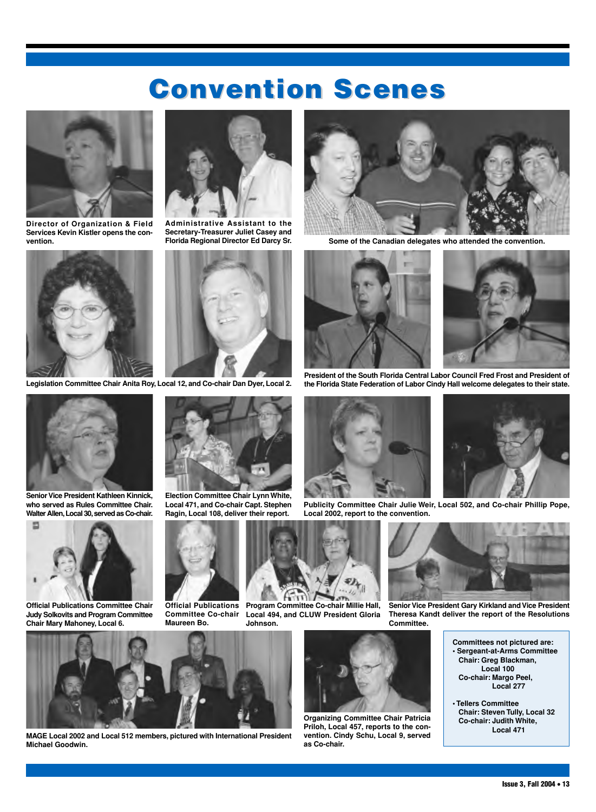# **Convention Scenes nvention Scenes**



**Director of Organization & Field Services Kevin Kistler opens the convention.**



**Legislation Committee Chair Anita Roy, Local 12, and Co-chair Dan Dyer, Local 2.**



**Senior Vice President Kathleen Kinnick, who served as Rules Committee Chair.** Walter Allen, Local 30, served as Co-chair.



**Official Publications Committee Chair Judy Solkovits and Program Committee Chair Mary Mahoney, Local 6.**









**Election Committee Chair Lynn White, Local 471, and Co-chair Capt. Stephen Ragin, Local 108, deliver their report.**

**Committee Co-chair**

**Maureen Bo.**



**Program Committee Co-chair Millie Hall, Local 494, and CLUW President Gloria Johnson.**



**Florida Regional Director Ed Darcy Sr. Some of the Canadian delegates who attended the convention.**



**President of the South Florida Central Labor Council Fred Frost and President of the Florida State Federation of Labor Cindy Hall welcome delegates to their state.**



**Publicity Committee Chair Julie Weir, Local 502, and Co-chair Phillip Pope,**



**Senior Vice President Gary Kirkland and Vice President Theresa Kandt deliver the report of the Resolutions Committee.**

- **Committees not pictured are: • Sergeant-at-Arms Committee Chair: Greg Blackman, Local 100 Co-chair: Margo Peel, Local 277**
	- **Tellers Committee Chair: Steven Tully, Local 32 Co-chair: Judith White, Local 471**



**MAGE Local 2002 and Local 512 members, pictured with International President Michael Goodwin.**



**Organizing Committee Chair Patricia Priloh, Local 457, reports to the convention. Cindy Schu, Local 9, served as Co-chair.**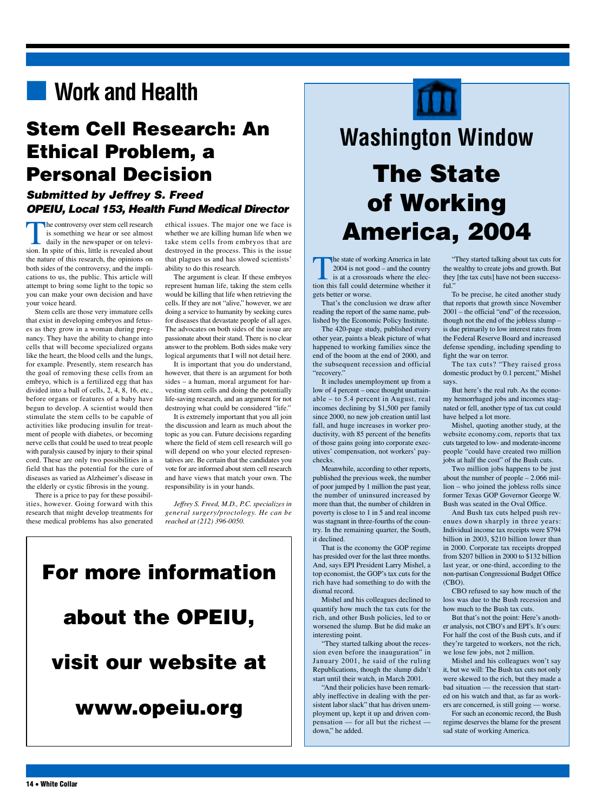## ■ **Work and Health**

## **Stem Cell Research: An Ethical Problem, a Personal Decision**

## *Submitted by Jeffrey S. Freed OPEIU, Local 153, Health Fund Medical Director*

The controversy over stem cell research is something we hear or see almost daily in the newspaper or on television. In spite of this, little is revealed about the nature of this research, the opinions on both sides of the controversy, and the implications to us, the public. This article will attempt to bring some light to the topic so you can make your own decision and have your voice heard.

Stem cells are those very immature cells that exist in developing embryos and fetuses as they grow in a woman during pregnancy. They have the ability to change into cells that will become specialized organs like the heart, the blood cells and the lungs, for example. Presently, stem research has the goal of removing these cells from an embryo, which is a fertilized egg that has divided into a ball of cells, 2, 4, 8, 16, etc., before organs or features of a baby have begun to develop. A scientist would then stimulate the stem cells to be capable of activities like producing insulin for treatment of people with diabetes, or becoming nerve cells that could be used to treat people with paralysis caused by injury to their spinal cord. These are only two possibilities in a field that has the potential for the cure of diseases as varied as Alzheimer's disease in the elderly or cystic fibrosis in the young.

There is a price to pay for these possibilities, however. Going forward with this research that might develop treatments for these medical problems has also generated

ethical issues. The major one we face is whether we are killing human life when we take stem cells from embryos that are destroyed in the process. This is the issue that plagues us and has slowed scientists' ability to do this research.

The argument is clear. If these embryos represent human life, taking the stem cells would be killing that life when retrieving the cells. If they are not "alive," however, we are doing a service to humanity by seeking cures for diseases that devastate people of all ages. The advocates on both sides of the issue are passionate about their stand. There is no clear answer to the problem. Both sides make very logical arguments that I will not detail here.

It is important that you do understand, however, that there is an argument for both sides – a human, moral argument for harvesting stem cells and doing the potentially life-saving research, and an argument for not destroying what could be considered "life."

It is extremely important that you all join the discussion and learn as much about the topic as you can. Future decisions regarding where the field of stem cell research will go will depend on who your elected representatives are. Be certain that the candidates you vote for are informed about stem cell research and have views that match your own. The responsibility is in your hands.

*Jeffrey S. Freed, M.D., P.C. specializes in general surgery/proctology. He can be reached at (212) 396-0050.*





# **Washington Window The State of Working America, 2004**

The state of working America in late 2004 is not good – and the country is at a crossroads where the election this fall could determine whether it gets better or worse.

That's the conclusion we draw after reading the report of the same name, published by the Economic Policy Institute.

The 420-page study, published every other year, paints a bleak picture of what happened to working families since the end of the boom at the end of 2000, and the subsequent recession and official "recovery."

It includes unemployment up from a low of 4 percent – once thought unattainable – to 5.4 percent in August, real incomes declining by \$1,500 per family since 2000, no new job creation until last fall, and huge increases in worker productivity, with 85 percent of the benefits of those gains going into corporate executives' compensation, not workers' paychecks.

Meanwhile, according to other reports, published the previous week, the number of poor jumped by 1 million the past year, the number of uninsured increased by more than that, the number of children in poverty is close to 1 in 5 and real income was stagnant in three-fourths of the country. In the remaining quarter, the South, it declined.

That is the economy the GOP regime has presided over for the last three months. And, says EPI President Larry Mishel, a top economist, the GOP's tax cuts for the rich have had something to do with the dismal record.

Mishel and his colleagues declined to quantify how much the tax cuts for the rich, and other Bush policies, led to or worsened the slump. But he did make an interesting point.

"They started talking about the recession even before the inauguration" in January 2001, he said of the ruling Republications, though the slump didn't start until their watch, in March 2001.

"And their policies have been remarkably ineffective in dealing with the persistent labor slack" that has driven unemployment up, kept it up and driven compensation — for all but the richest down," he added.

"They started talking about tax cuts for the wealthy to create jobs and growth. But they [the tax cuts] have not been successful."

To be precise, he cited another study that reports that growth since November 2001 – the official "end" of the recession, though not the end of the jobless slump – is due primarily to low interest rates from the Federal Reserve Board and increased defense spending, including spending to fight the war on terror.

The tax cuts? "They raised gross domestic product by 0.1 percent," Mishel says.

But here's the real rub. As the economy hemorrhaged jobs and incomes stagnated or fell, another type of tax cut could have helped a lot more.

Mishel, quoting another study, at the website economy.com, reports that tax cuts targeted to low- and moderate-income people "could have created two million jobs at half the cost" of the Bush cuts.

Two million jobs happens to be just about the number of people – 2.066 million – who joined the jobless rolls since former Texas GOP Governor George W. Bush was seated in the Oval Office.

And Bush tax cuts helped push revenues down sharply in three years: Individual income tax receipts were \$794 billion in 2003, \$210 billion lower than in 2000. Corporate tax receipts dropped from \$207 billion in 2000 to \$132 billion last year, or one-third, according to the non-partisan Congressional Budget Office (CBO).

CBO refused to say how much of the loss was due to the Bush recession and how much to the Bush tax cuts.

But that's not the point: Here's another analysis, not CBO's and EPI's. It's ours: For half the cost of the Bush cuts, and if they're targeted to workers, not the rich, we lose few jobs, not 2 million.

Mishel and his colleagues won't say it, but we will: The Bush tax cuts not only were skewed to the rich, but they made a bad situation — the recession that started on his watch and that, as far as workers are concerned, is still going — worse.

For such an economic record, the Bush regime deserves the blame for the present sad state of working America.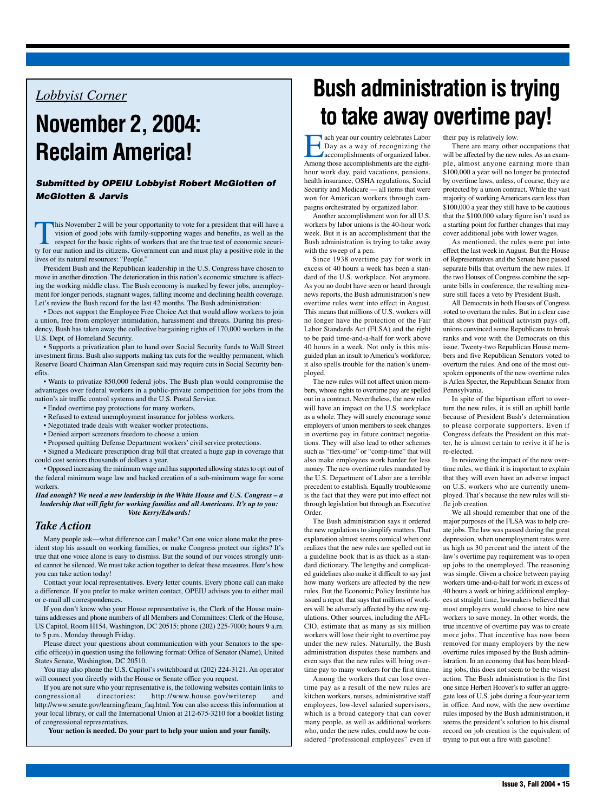## *Lobbyist Corner*

# **November 2, 2004: Reclaim America!**

### *Submitted by OPEIU Lobbyist Robert McGlotten of McGlotten & Jarvis*

This November 2 will be your opportunity to vote for a president that will have a vision of good jobs with family-supporting wages and benefits, as well as the respect for the basic rights of workers that are the true test of economic security for our nation and its citizens. Government can and must play a positive role in the lives of its natural resources: "People."

President Bush and the Republican leadership in the U.S. Congress have chosen to move in another direction. The deterioration in this nation's economic structure is affecting the working middle class. The Bush economy is marked by fewer jobs, unemployment for longer periods, stagnant wages, falling income and declining health coverage. Let's review the Bush record for the last 42 months. The Bush administration:

• Does not support the Employee Free Choice Act that would allow workers to join a union, free from employer intimidation, harassment and threats. During his presidency, Bush has taken away the collective bargaining rights of 170,000 workers in the U.S. Dept. of Homeland Security.

• Supports a privatization plan to hand over Social Security funds to Wall Street investment firms. Bush also supports making tax cuts for the wealthy permanent, which Reserve Board Chairman Alan Greenspan said may require cuts in Social Security benefits.

• Wants to privatize 850,000 federal jobs. The Bush plan would compromise the advantages over federal workers in a public-private competition for jobs from the nation's air traffic control systems and the U.S. Postal Service.

- Ended overtime pay protections for many workers.
- Refused to extend unemployment insurance for jobless workers.
- Negotiated trade deals with weaker worker protections.
- Denied airport screeners freedom to choose a union.
- Proposed quitting Defense Department workers' civil service protections.

• Signed a Medicare prescription drug bill that created a huge gap in coverage that could cost seniors thousands of dollars a year.

• Opposed increasing the minimum wage and has supported allowing states to opt out of the federal minimum wage law and backed creation of a sub-minimum wage for some workers.

*Had enough? We need a new leadership in the White House and U.S. Congress – a leadership that will fight for working families and all Americans. It's up to you: Vote Kerry/Edwards!*

### *Take Action*

Many people ask—what difference can I make? Can one voice alone make the president stop his assault on working families, or make Congress protect our rights? It's true that one voice alone is easy to dismiss. But the sound of our voices strongly united cannot be silenced. We must take action together to defeat these measures. Here's how you can take action today!

Contact your local representatives. Every letter counts. Every phone call can make a difference. If you prefer to make written contact, OPEIU advises you to either mail or e-mail all correspondences.

If you don't know who your House representative is, the Clerk of the House maintains addresses and phone numbers of all Members and Committees: Clerk of the House, US Capitol, Room H154, Washington, DC 20515; phone (202) 225-7000; hours 9 a.m. to 5 p.m., Monday through Friday.

Please direct your questions about communication with your Senators to the specific office(s) in question using the following format: Office of Senator (Name), United States Senate, Washington, DC 20510.

You may also phone the U.S. Capitol's switchboard at (202) 224-3121. An operator will connect you directly with the House or Senate office you request.

If you are not sure who your representative is, the following websites contain links to congressional directories: http://www.house.gov/writerep and http://www.senate.gov/learning/learn\_faq.html. You can also access this information at your local library, or call the International Union at 212-675-3210 for a booklet listing of congressional representatives.

**Your action is needed. Do your part to help your union and your family.**

# **Bush administration is trying to take away overtime pay!**

Each year our country celebrates Labor<br>
Day as a way of recognizing the<br>
accomplishments of organized labor.<br>
Among those accomplishments are the eight-Day as a way of recognizing the accomplishments of organized labor. Among those accomplishments are the eighthour work day, paid vacations, pensions, health insurance, OSHA regulations, Social Security and Medicare — all items that were won for American workers through campaigns orchestrated by organized labor.

Another accomplishment won for all U.S. workers by labor unions is the 40-hour work week. But it is an accomplishment that the Bush administration is trying to take away with the sweep of a pen.

Since 1938 overtime pay for work in excess of 40 hours a week has been a standard of the U.S. workplace. Not anymore. As you no doubt have seen or heard through news reports, the Bush administration's new overtime rules went into effect in August. This means that millions of U.S. workers will no longer have the protection of the Fair Labor Standards Act (FLSA) and the right to be paid time-and-a-half for work above 40 hours in a week. Not only is this misguided plan an insult to America's workforce, it also spells trouble for the nation's unemployed.

The new rules will not affect union members, whose rights to overtime pay are spelled out in a contract. Nevertheless, the new rules will have an impact on the U.S. workplace as a whole. They will surely encourage some employers of union members to seek changes in overtime pay in future contract negotiations. They will also lead to other schemes such as "flex-time" or "comp-time" that will also make employees work harder for less money. The new overtime rules mandated by the U.S. Department of Labor are a terrible precedent to establish. Equally troublesome is the fact that they were put into effect not through legislation but through an Executive Order.

The Bush administration says it ordered the new regulations to simplify matters. That explanation almost seems comical when one realizes that the new rules are spelled out in a guideline book that is as thick as a standard dictionary. The lengthy and complicated guidelines also make it difficult to say just how many workers are affected by the new rules. But the Economic Policy Institute has issued a report that says that millions of workers will be adversely affected by the new regulations. Other sources, including the AFL-CIO, estimate that as many as six million workers will lose their right to overtime pay under the new rules. Naturally, the Bush administration disputes these numbers and even says that the new rules will bring overtime pay to many workers for the first time.

Among the workers that can lose overtime pay as a result of the new rules are kitchen workers, nurses, administrative staff employees, low-level salaried supervisors, which is a broad category that can cover many people, as well as additional workers who, under the new rules, could now be considered "professional employees" even if their pay is relatively low.

There are many other occupations that will be affected by the new rules. As an example, almost anyone earning more than \$100,000 a year will no longer be protected by overtime laws, unless, of course, they are protected by a union contract. While the vast majority of working Americans earn less than \$100,000 a year they still have to be cautious that the \$100,000 salary figure isn't used as a starting point for further changes that may cover additional jobs with lower wages.

As mentioned, the rules were put into effect the last week in August. But the House of Representatives and the Senate have passed separate bills that overturn the new rules. If the two Houses of Congress combine the separate bills in conference, the resulting measure still faces a veto by President Bush.

All Democrats in both Houses of Congress voted to overturn the rules. But in a clear case that shows that political activism pays off, unions convinced some Republicans to break ranks and vote with the Democrats on this issue. Twenty-two Republican House members and five Republican Senators voted to overturn the rules. And one of the most outspoken opponents of the new overtime rules is Arlen Specter, the Republican Senator from Pennsylvania.

In spite of the bipartisan effort to overturn the new rules, it is still an uphill battle because of President Bush's determination to please corporate supporters. Even if Congress defeats the President on this matter, he is almost certain to revive it if he is re-elected.

In reviewing the impact of the new overtime rules, we think it is important to explain that they will even have an adverse impact on U.S. workers who are currently unemployed. That's because the new rules will stifle job creation.

We all should remember that one of the major purposes of the FLSA was to help create jobs. The law was passed during the great depression, when unemployment rates were as high as 30 percent and the intent of the law's overtime pay requirement was to open up jobs to the unemployed. The reasoning was simple. Given a choice between paying workers time-and-a-half for work in excess of 40 hours a week or hiring additional employees at straight time, lawmakers believed that most employers would choose to hire new workers to save money. In other words, the true incentive of overtime pay was to create more jobs. That incentive has now been removed for many employers by the new overtime rules imposed by the Bush administration. In an economy that has been bleeding jobs, this does not seem to be the wisest action. The Bush administration is the first one since Herbert Hoover's to suffer an aggregate loss of U.S. jobs during a four-year term in office. And now, with the new overtime rules imposed by the Bush administration, it seems the president's solution to his dismal record on job creation is the equivalent of trying to put out a fire with gasoline!